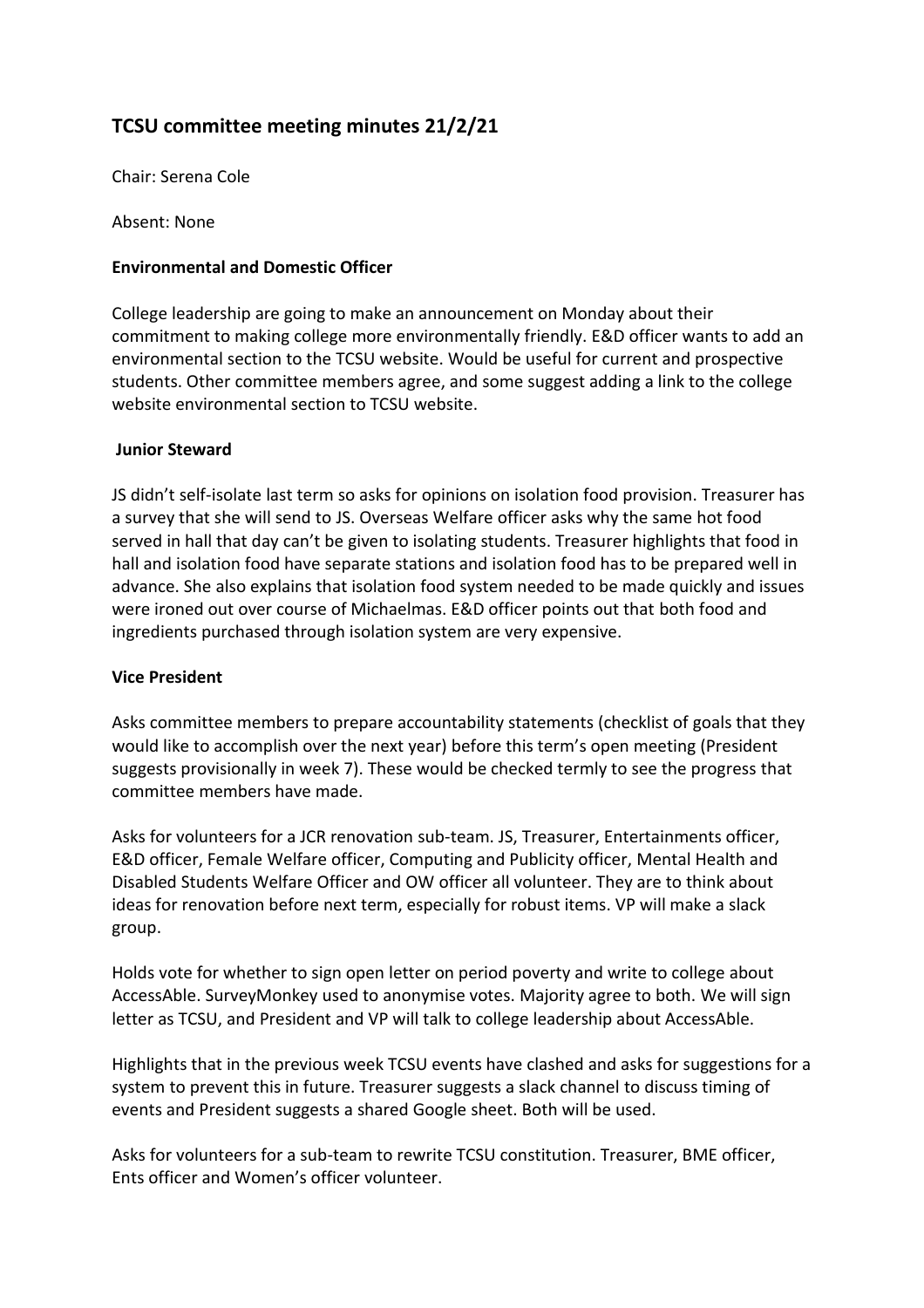# **TCSU committee meeting minutes 21/2/21**

Chair: Serena Cole

Absent: None

# **Environmental and Domestic Officer**

College leadership are going to make an announcement on Monday about their commitment to making college more environmentally friendly. E&D officer wants to add an environmental section to the TCSU website. Would be useful for current and prospective students. Other committee members agree, and some suggest adding a link to the college website environmental section to TCSU website.

## **Junior Steward**

JS didn't self-isolate last term so asks for opinions on isolation food provision. Treasurer has a survey that she will send to JS. Overseas Welfare officer asks why the same hot food served in hall that day can't be given to isolating students. Treasurer highlights that food in hall and isolation food have separate stations and isolation food has to be prepared well in advance. She also explains that isolation food system needed to be made quickly and issues were ironed out over course of Michaelmas. E&D officer points out that both food and ingredients purchased through isolation system are very expensive.

## **Vice President**

Asks committee members to prepare accountability statements (checklist of goals that they would like to accomplish over the next year) before this term's open meeting (President suggests provisionally in week 7). These would be checked termly to see the progress that committee members have made.

Asks for volunteers for a JCR renovation sub-team. JS, Treasurer, Entertainments officer, E&D officer, Female Welfare officer, Computing and Publicity officer, Mental Health and Disabled Students Welfare Officer and OW officer all volunteer. They are to think about ideas for renovation before next term, especially for robust items. VP will make a slack group.

Holds vote for whether to sign open letter on period poverty and write to college about AccessAble. SurveyMonkey used to anonymise votes. Majority agree to both. We will sign letter as TCSU, and President and VP will talk to college leadership about AccessAble.

Highlights that in the previous week TCSU events have clashed and asks for suggestions for a system to prevent this in future. Treasurer suggests a slack channel to discuss timing of events and President suggests a shared Google sheet. Both will be used.

Asks for volunteers for a sub-team to rewrite TCSU constitution. Treasurer, BME officer, Ents officer and Women's officer volunteer.